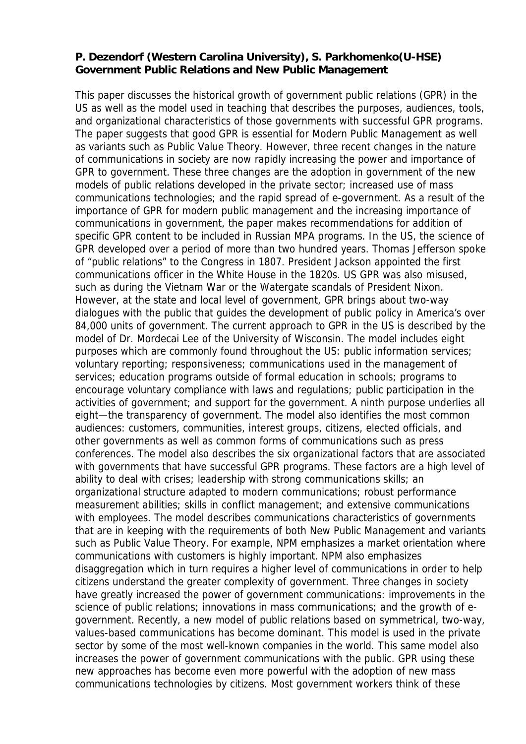## **P. Dezendorf (Western Carolina University), S. Parkhomenko(U-HSE) Government Public Relations and New Public Management**

This paper discusses the historical growth of government public relations (GPR) in the US as well as the model used in teaching that describes the purposes, audiences, tools, and organizational characteristics of those governments with successful GPR programs. The paper suggests that good GPR is essential for Modern Public Management as well as variants such as Public Value Theory. However, three recent changes in the nature of communications in society are now rapidly increasing the power and importance of GPR to government. These three changes are the adoption in government of the new models of public relations developed in the private sector; increased use of mass communications technologies; and the rapid spread of e-government. As a result of the importance of GPR for modern public management and the increasing importance of communications in government, the paper makes recommendations for addition of specific GPR content to be included in Russian MPA programs. In the US, the science of GPR developed over a period of more than two hundred years. Thomas Jefferson spoke of "public relations" to the Congress in 1807. President Jackson appointed the first communications officer in the White House in the 1820s. US GPR was also misused, such as during the Vietnam War or the Watergate scandals of President Nixon. However, at the state and local level of government, GPR brings about two-way dialogues with the public that guides the development of public policy in America's over 84,000 units of government. The current approach to GPR in the US is described by the model of Dr. Mordecai Lee of the University of Wisconsin. The model includes eight purposes which are commonly found throughout the US: public information services; voluntary reporting; responsiveness; communications used in the management of services; education programs outside of formal education in schools; programs to encourage voluntary compliance with laws and regulations; public participation in the activities of government; and support for the government. A ninth purpose underlies all eight—the transparency of government. The model also identifies the most common audiences: customers, communities, interest groups, citizens, elected officials, and other governments as well as common forms of communications such as press conferences. The model also describes the six organizational factors that are associated with governments that have successful GPR programs. These factors are a high level of ability to deal with crises; leadership with strong communications skills; an organizational structure adapted to modern communications; robust performance measurement abilities; skills in conflict management; and extensive communications with employees. The model describes communications characteristics of governments that are in keeping with the requirements of both New Public Management and variants such as Public Value Theory. For example, NPM emphasizes a market orientation where communications with customers is highly important. NPM also emphasizes disaggregation which in turn requires a higher level of communications in order to help citizens understand the greater complexity of government. Three changes in society have greatly increased the power of government communications: improvements in the science of public relations; innovations in mass communications; and the growth of egovernment. Recently, a new model of public relations based on symmetrical, two-way, values-based communications has become dominant. This model is used in the private sector by some of the most well-known companies in the world. This same model also increases the power of government communications with the public. GPR using these new approaches has become even more powerful with the adoption of new mass communications technologies by citizens. Most government workers think of these